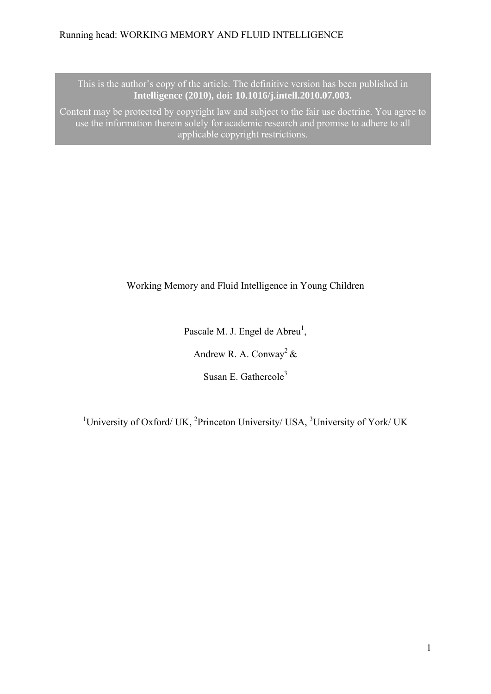This is the author's copy of the article. The definitive version has been published in **Intelligence (2010), doi: 10.1016/j.intell.2010.07.003.** 

Content may be protected by copyright law and subject to the fair use doctrine. You agree to use the information therein solely for academic research and promise to adhere to all applicable copyright restrictions.

Working Memory and Fluid Intelligence in Young Children

Pascale M. J. Engel de Abreu<sup>1</sup>, Andrew R. A. Conway<sup>2</sup> & Susan E. Gathercole<sup>3</sup>

<sup>1</sup>University of Oxford/ UK, <sup>2</sup>Princeton University/ USA, <sup>3</sup>University of York/ UK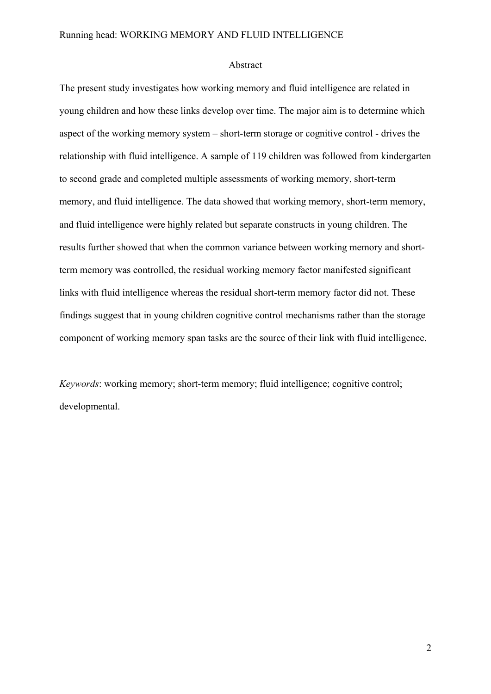#### Abstract

The present study investigates how working memory and fluid intelligence are related in young children and how these links develop over time. The major aim is to determine which aspect of the working memory system – short-term storage or cognitive control - drives the relationship with fluid intelligence. A sample of 119 children was followed from kindergarten to second grade and completed multiple assessments of working memory, short-term memory, and fluid intelligence. The data showed that working memory, short-term memory, and fluid intelligence were highly related but separate constructs in young children. The results further showed that when the common variance between working memory and shortterm memory was controlled, the residual working memory factor manifested significant links with fluid intelligence whereas the residual short-term memory factor did not. These findings suggest that in young children cognitive control mechanisms rather than the storage component of working memory span tasks are the source of their link with fluid intelligence.

*Keywords*: working memory; short-term memory; fluid intelligence; cognitive control; developmental.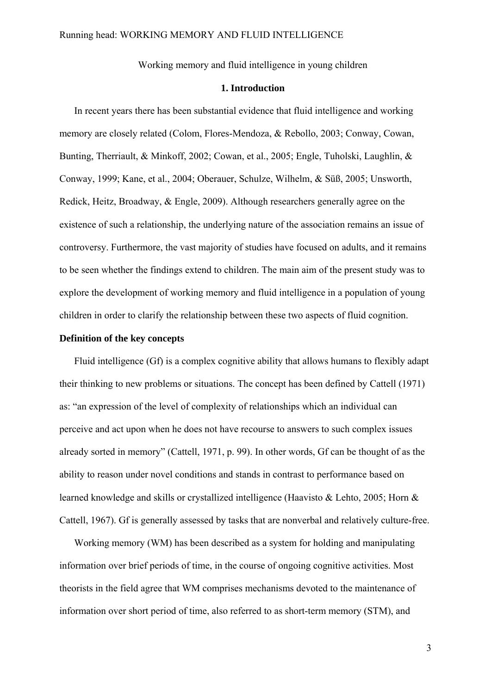Working memory and fluid intelligence in young children

### **1. Introduction**

In recent years there has been substantial evidence that fluid intelligence and working memory are closely related (Colom, Flores-Mendoza, & Rebollo, 2003; Conway, Cowan, Bunting, Therriault, & Minkoff, 2002; Cowan, et al., 2005; Engle, Tuholski, Laughlin, & Conway, 1999; Kane, et al., 2004; Oberauer, Schulze, Wilhelm, & Süß, 2005; Unsworth, Redick, Heitz, Broadway, & Engle, 2009). Although researchers generally agree on the existence of such a relationship, the underlying nature of the association remains an issue of controversy. Furthermore, the vast majority of studies have focused on adults, and it remains to be seen whether the findings extend to children. The main aim of the present study was to explore the development of working memory and fluid intelligence in a population of young children in order to clarify the relationship between these two aspects of fluid cognition.

# **Definition of the key concepts**

Fluid intelligence (Gf) is a complex cognitive ability that allows humans to flexibly adapt their thinking to new problems or situations. The concept has been defined by Cattell (1971) as: "an expression of the level of complexity of relationships which an individual can perceive and act upon when he does not have recourse to answers to such complex issues already sorted in memory" (Cattell, 1971, p. 99). In other words, Gf can be thought of as the ability to reason under novel conditions and stands in contrast to performance based on learned knowledge and skills or crystallized intelligence (Haavisto & Lehto, 2005; Horn & Cattell, 1967). Gf is generally assessed by tasks that are nonverbal and relatively culture-free.

Working memory (WM) has been described as a system for holding and manipulating information over brief periods of time, in the course of ongoing cognitive activities. Most theorists in the field agree that WM comprises mechanisms devoted to the maintenance of information over short period of time, also referred to as short-term memory (STM), and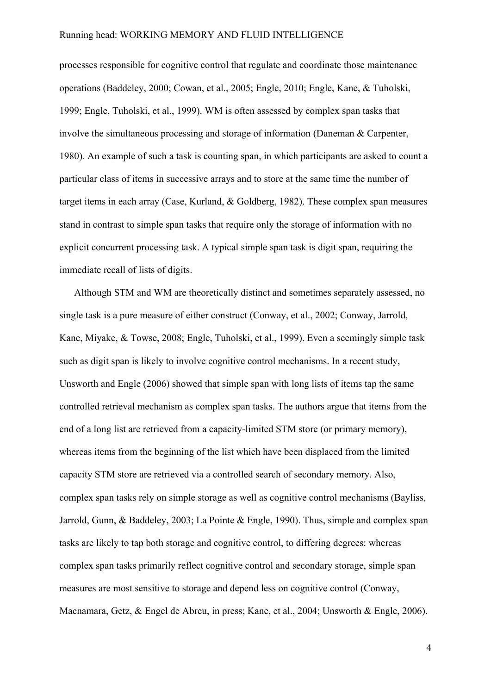processes responsible for cognitive control that regulate and coordinate those maintenance operations (Baddeley, 2000; Cowan, et al., 2005; Engle, 2010; Engle, Kane, & Tuholski, 1999; Engle, Tuholski, et al., 1999). WM is often assessed by complex span tasks that involve the simultaneous processing and storage of information (Daneman & Carpenter, 1980). An example of such a task is counting span, in which participants are asked to count a particular class of items in successive arrays and to store at the same time the number of target items in each array (Case, Kurland, & Goldberg, 1982). These complex span measures stand in contrast to simple span tasks that require only the storage of information with no explicit concurrent processing task. A typical simple span task is digit span, requiring the immediate recall of lists of digits.

Although STM and WM are theoretically distinct and sometimes separately assessed, no single task is a pure measure of either construct (Conway, et al., 2002; Conway, Jarrold, Kane, Miyake, & Towse, 2008; Engle, Tuholski, et al., 1999). Even a seemingly simple task such as digit span is likely to involve cognitive control mechanisms. In a recent study, Unsworth and Engle (2006) showed that simple span with long lists of items tap the same controlled retrieval mechanism as complex span tasks. The authors argue that items from the end of a long list are retrieved from a capacity-limited STM store (or primary memory), whereas items from the beginning of the list which have been displaced from the limited capacity STM store are retrieved via a controlled search of secondary memory. Also, complex span tasks rely on simple storage as well as cognitive control mechanisms (Bayliss, Jarrold, Gunn, & Baddeley, 2003; La Pointe & Engle, 1990). Thus, simple and complex span tasks are likely to tap both storage and cognitive control, to differing degrees: whereas complex span tasks primarily reflect cognitive control and secondary storage, simple span measures are most sensitive to storage and depend less on cognitive control (Conway, Macnamara, Getz, & Engel de Abreu, in press; Kane, et al., 2004; Unsworth & Engle, 2006).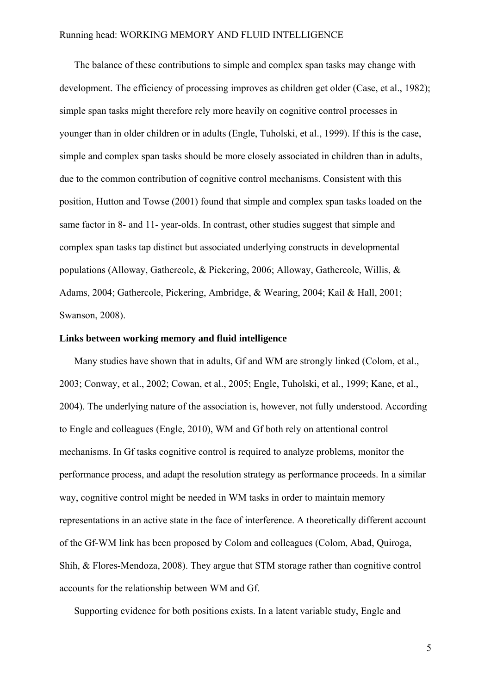The balance of these contributions to simple and complex span tasks may change with development. The efficiency of processing improves as children get older (Case, et al., 1982); simple span tasks might therefore rely more heavily on cognitive control processes in younger than in older children or in adults (Engle, Tuholski, et al., 1999). If this is the case, simple and complex span tasks should be more closely associated in children than in adults, due to the common contribution of cognitive control mechanisms. Consistent with this position, Hutton and Towse (2001) found that simple and complex span tasks loaded on the same factor in 8- and 11- year-olds. In contrast, other studies suggest that simple and complex span tasks tap distinct but associated underlying constructs in developmental populations (Alloway, Gathercole, & Pickering, 2006; Alloway, Gathercole, Willis, & Adams, 2004; Gathercole, Pickering, Ambridge, & Wearing, 2004; Kail & Hall, 2001; Swanson, 2008).

# **Links between working memory and fluid intelligence**

Many studies have shown that in adults, Gf and WM are strongly linked (Colom, et al., 2003; Conway, et al., 2002; Cowan, et al., 2005; Engle, Tuholski, et al., 1999; Kane, et al., 2004). The underlying nature of the association is, however, not fully understood. According to Engle and colleagues (Engle, 2010), WM and Gf both rely on attentional control mechanisms. In Gf tasks cognitive control is required to analyze problems, monitor the performance process, and adapt the resolution strategy as performance proceeds. In a similar way, cognitive control might be needed in WM tasks in order to maintain memory representations in an active state in the face of interference. A theoretically different account of the Gf-WM link has been proposed by Colom and colleagues (Colom, Abad, Quiroga, Shih, & Flores-Mendoza, 2008). They argue that STM storage rather than cognitive control accounts for the relationship between WM and Gf.

Supporting evidence for both positions exists. In a latent variable study, Engle and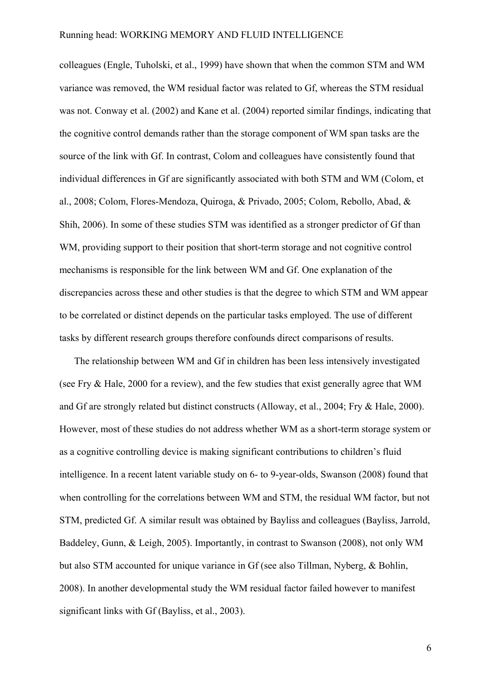colleagues (Engle, Tuholski, et al., 1999) have shown that when the common STM and WM variance was removed, the WM residual factor was related to Gf, whereas the STM residual was not. Conway et al. (2002) and Kane et al. (2004) reported similar findings, indicating that the cognitive control demands rather than the storage component of WM span tasks are the source of the link with Gf. In contrast, Colom and colleagues have consistently found that individual differences in Gf are significantly associated with both STM and WM (Colom, et al., 2008; Colom, Flores-Mendoza, Quiroga, & Privado, 2005; Colom, Rebollo, Abad, & Shih, 2006). In some of these studies STM was identified as a stronger predictor of Gf than WM, providing support to their position that short-term storage and not cognitive control mechanisms is responsible for the link between WM and Gf. One explanation of the discrepancies across these and other studies is that the degree to which STM and WM appear to be correlated or distinct depends on the particular tasks employed. The use of different tasks by different research groups therefore confounds direct comparisons of results.

The relationship between WM and Gf in children has been less intensively investigated (see Fry & Hale, 2000 for a review), and the few studies that exist generally agree that WM and Gf are strongly related but distinct constructs (Alloway, et al., 2004; Fry & Hale, 2000). However, most of these studies do not address whether WM as a short-term storage system or as a cognitive controlling device is making significant contributions to children's fluid intelligence. In a recent latent variable study on 6- to 9-year-olds, Swanson (2008) found that when controlling for the correlations between WM and STM, the residual WM factor, but not STM, predicted Gf. A similar result was obtained by Bayliss and colleagues (Bayliss, Jarrold, Baddeley, Gunn, & Leigh, 2005). Importantly, in contrast to Swanson (2008), not only WM but also STM accounted for unique variance in Gf (see also Tillman, Nyberg, & Bohlin, 2008). In another developmental study the WM residual factor failed however to manifest significant links with Gf (Bayliss, et al., 2003).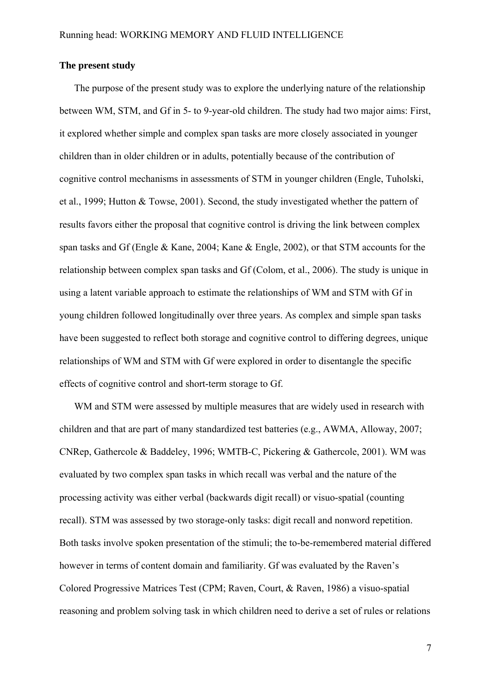### **The present study**

The purpose of the present study was to explore the underlying nature of the relationship between WM, STM, and Gf in 5- to 9-year-old children. The study had two major aims: First, it explored whether simple and complex span tasks are more closely associated in younger children than in older children or in adults, potentially because of the contribution of cognitive control mechanisms in assessments of STM in younger children (Engle, Tuholski, et al., 1999; Hutton & Towse, 2001). Second, the study investigated whether the pattern of results favors either the proposal that cognitive control is driving the link between complex span tasks and Gf (Engle & Kane, 2004; Kane & Engle, 2002), or that STM accounts for the relationship between complex span tasks and Gf (Colom, et al., 2006). The study is unique in using a latent variable approach to estimate the relationships of WM and STM with Gf in young children followed longitudinally over three years. As complex and simple span tasks have been suggested to reflect both storage and cognitive control to differing degrees, unique relationships of WM and STM with Gf were explored in order to disentangle the specific effects of cognitive control and short-term storage to Gf.

WM and STM were assessed by multiple measures that are widely used in research with children and that are part of many standardized test batteries (e.g., AWMA, Alloway, 2007; CNRep, Gathercole & Baddeley, 1996; WMTB-C, Pickering & Gathercole, 2001). WM was evaluated by two complex span tasks in which recall was verbal and the nature of the processing activity was either verbal (backwards digit recall) or visuo-spatial (counting recall). STM was assessed by two storage-only tasks: digit recall and nonword repetition. Both tasks involve spoken presentation of the stimuli; the to-be-remembered material differed however in terms of content domain and familiarity. Gf was evaluated by the Raven's Colored Progressive Matrices Test (CPM; Raven, Court, & Raven, 1986) a visuo-spatial reasoning and problem solving task in which children need to derive a set of rules or relations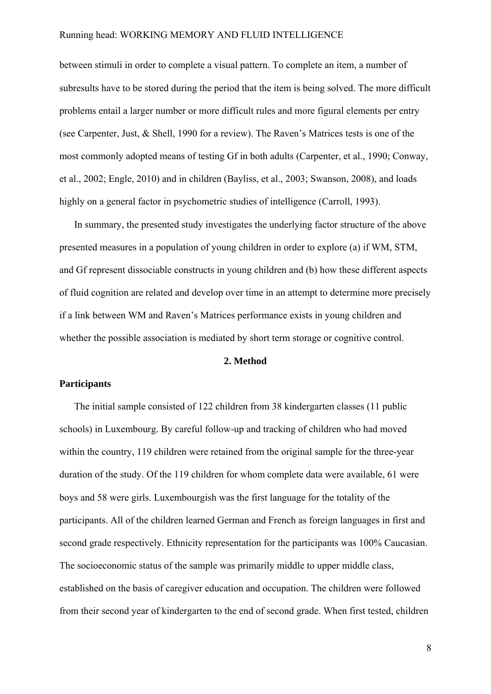between stimuli in order to complete a visual pattern. To complete an item, a number of subresults have to be stored during the period that the item is being solved. The more difficult problems entail a larger number or more difficult rules and more figural elements per entry (see Carpenter, Just, & Shell, 1990 for a review). The Raven's Matrices tests is one of the most commonly adopted means of testing Gf in both adults (Carpenter, et al., 1990; Conway, et al., 2002; Engle, 2010) and in children (Bayliss, et al., 2003; Swanson, 2008), and loads highly on a general factor in psychometric studies of intelligence (Carroll, 1993).

In summary, the presented study investigates the underlying factor structure of the above presented measures in a population of young children in order to explore (a) if WM, STM, and Gf represent dissociable constructs in young children and (b) how these different aspects of fluid cognition are related and develop over time in an attempt to determine more precisely if a link between WM and Raven's Matrices performance exists in young children and whether the possible association is mediated by short term storage or cognitive control.

## **2. Method**

### **Participants**

The initial sample consisted of 122 children from 38 kindergarten classes (11 public schools) in Luxembourg. By careful follow-up and tracking of children who had moved within the country, 119 children were retained from the original sample for the three-year duration of the study. Of the 119 children for whom complete data were available, 61 were boys and 58 were girls. Luxembourgish was the first language for the totality of the participants. All of the children learned German and French as foreign languages in first and second grade respectively. Ethnicity representation for the participants was 100% Caucasian. The socioeconomic status of the sample was primarily middle to upper middle class, established on the basis of caregiver education and occupation. The children were followed from their second year of kindergarten to the end of second grade. When first tested, children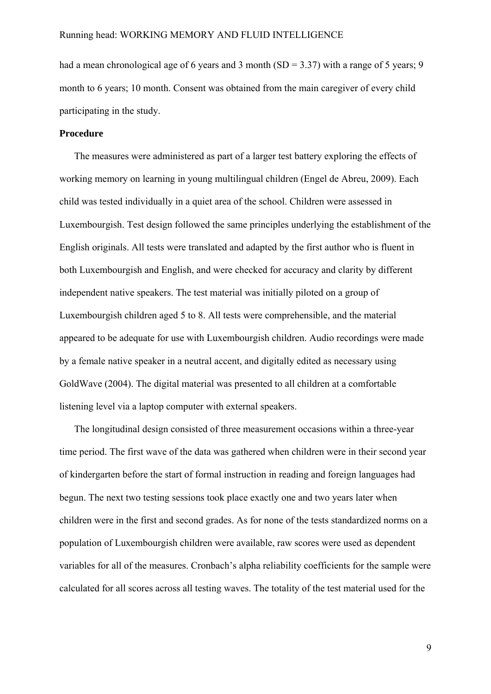had a mean chronological age of 6 years and 3 month (SD =  $3.37$ ) with a range of 5 years; 9 month to 6 years; 10 month. Consent was obtained from the main caregiver of every child participating in the study.

# **Procedure**

The measures were administered as part of a larger test battery exploring the effects of working memory on learning in young multilingual children (Engel de Abreu, 2009). Each child was tested individually in a quiet area of the school. Children were assessed in Luxembourgish. Test design followed the same principles underlying the establishment of the English originals. All tests were translated and adapted by the first author who is fluent in both Luxembourgish and English, and were checked for accuracy and clarity by different independent native speakers. The test material was initially piloted on a group of Luxembourgish children aged 5 to 8. All tests were comprehensible, and the material appeared to be adequate for use with Luxembourgish children. Audio recordings were made by a female native speaker in a neutral accent, and digitally edited as necessary using GoldWave (2004). The digital material was presented to all children at a comfortable listening level via a laptop computer with external speakers.

The longitudinal design consisted of three measurement occasions within a three-year time period. The first wave of the data was gathered when children were in their second year of kindergarten before the start of formal instruction in reading and foreign languages had begun. The next two testing sessions took place exactly one and two years later when children were in the first and second grades. As for none of the tests standardized norms on a population of Luxembourgish children were available, raw scores were used as dependent variables for all of the measures. Cronbach's alpha reliability coefficients for the sample were calculated for all scores across all testing waves. The totality of the test material used for the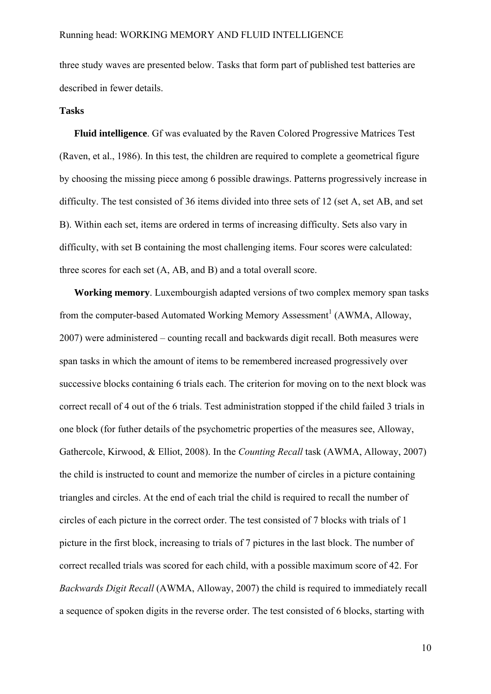three study waves are presented below. Tasks that form part of published test batteries are described in fewer details.

#### **Tasks**

**Fluid intelligence**. Gf was evaluated by the Raven Colored Progressive Matrices Test (Raven, et al., 1986). In this test, the children are required to complete a geometrical figure by choosing the missing piece among 6 possible drawings. Patterns progressively increase in difficulty. The test consisted of 36 items divided into three sets of 12 (set A, set AB, and set B). Within each set, items are ordered in terms of increasing difficulty. Sets also vary in difficulty, with set B containing the most challenging items. Four scores were calculated: three scores for each set (A, AB, and B) and a total overall score.

**Working memory**. Luxembourgish adapted versions of two complex memory span tasks from the computer-based Automated Working Memory Assessment<sup>1</sup> (AWMA, Alloway, 2007) were administered – counting recall and backwards digit recall. Both measures were span tasks in which the amount of items to be remembered increased progressively over successive blocks containing 6 trials each. The criterion for moving on to the next block was correct recall of 4 out of the 6 trials. Test administration stopped if the child failed 3 trials in one block (for futher details of the psychometric properties of the measures see, Alloway, Gathercole, Kirwood, & Elliot, 2008). In the *Counting Recall* task (AWMA, Alloway, 2007) the child is instructed to count and memorize the number of circles in a picture containing triangles and circles. At the end of each trial the child is required to recall the number of circles of each picture in the correct order. The test consisted of 7 blocks with trials of 1 picture in the first block, increasing to trials of 7 pictures in the last block. The number of correct recalled trials was scored for each child, with a possible maximum score of 42. For *Backwards Digit Recall* (AWMA, Alloway, 2007) the child is required to immediately recall a sequence of spoken digits in the reverse order. The test consisted of 6 blocks, starting with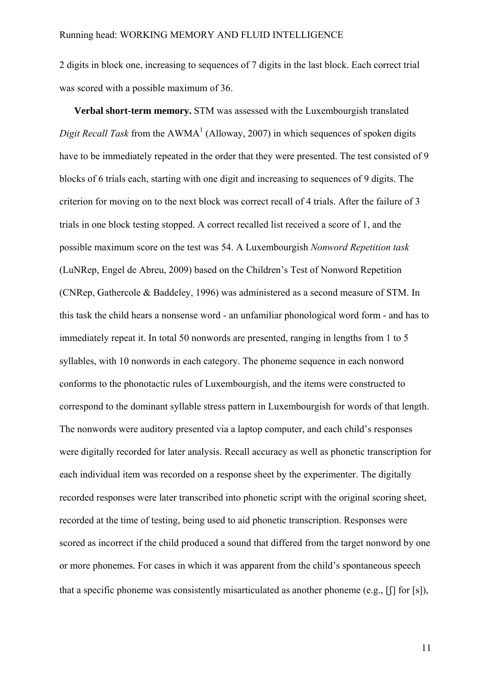2 digits in block one, increasing to sequences of 7 digits in the last block. Each correct trial was scored with a possible maximum of 36.

**Verbal short-term memory.** STM was assessed with the Luxembourgish translated *Digit Recall Task* from the  $AWMA<sup>1</sup>$  (Alloway, 2007) in which sequences of spoken digits have to be immediately repeated in the order that they were presented. The test consisted of 9 blocks of 6 trials each, starting with one digit and increasing to sequences of 9 digits. The criterion for moving on to the next block was correct recall of 4 trials. After the failure of 3 trials in one block testing stopped. A correct recalled list received a score of 1, and the possible maximum score on the test was 54. A Luxembourgish *Nonword Repetition task* (LuNRep, Engel de Abreu, 2009) based on the Children's Test of Nonword Repetition (CNRep, Gathercole & Baddeley, 1996) was administered as a second measure of STM. In this task the child hears a nonsense word - an unfamiliar phonological word form - and has to immediately repeat it. In total 50 nonwords are presented, ranging in lengths from 1 to 5 syllables, with 10 nonwords in each category. The phoneme sequence in each nonword conforms to the phonotactic rules of Luxembourgish, and the items were constructed to correspond to the dominant syllable stress pattern in Luxembourgish for words of that length. The nonwords were auditory presented via a laptop computer, and each child's responses were digitally recorded for later analysis. Recall accuracy as well as phonetic transcription for each individual item was recorded on a response sheet by the experimenter. The digitally recorded responses were later transcribed into phonetic script with the original scoring sheet, recorded at the time of testing, being used to aid phonetic transcription. Responses were scored as incorrect if the child produced a sound that differed from the target nonword by one or more phonemes. For cases in which it was apparent from the child's spontaneous speech that a specific phoneme was consistently misarticulated as another phoneme (e.g.,  $[$ [] for [s]),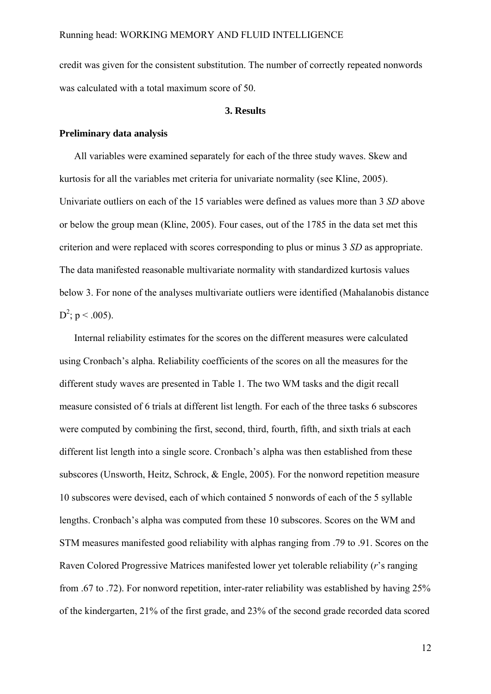credit was given for the consistent substitution. The number of correctly repeated nonwords was calculated with a total maximum score of 50.

#### **3. Results**

# **Preliminary data analysis**

All variables were examined separately for each of the three study waves. Skew and kurtosis for all the variables met criteria for univariate normality (see Kline, 2005). Univariate outliers on each of the 15 variables were defined as values more than 3 *SD* above or below the group mean (Kline, 2005). Four cases, out of the 1785 in the data set met this criterion and were replaced with scores corresponding to plus or minus 3 *SD* as appropriate. The data manifested reasonable multivariate normality with standardized kurtosis values below 3. For none of the analyses multivariate outliers were identified (Mahalanobis distance  $D^2$ ; p < .005).

Internal reliability estimates for the scores on the different measures were calculated using Cronbach's alpha. Reliability coefficients of the scores on all the measures for the different study waves are presented in Table 1. The two WM tasks and the digit recall measure consisted of 6 trials at different list length. For each of the three tasks 6 subscores were computed by combining the first, second, third, fourth, fifth, and sixth trials at each different list length into a single score. Cronbach's alpha was then established from these subscores (Unsworth, Heitz, Schrock, & Engle, 2005). For the nonword repetition measure 10 subscores were devised, each of which contained 5 nonwords of each of the 5 syllable lengths. Cronbach's alpha was computed from these 10 subscores. Scores on the WM and STM measures manifested good reliability with alphas ranging from .79 to .91. Scores on the Raven Colored Progressive Matrices manifested lower yet tolerable reliability (*r*'s ranging from .67 to .72). For nonword repetition, inter-rater reliability was established by having 25% of the kindergarten, 21% of the first grade, and 23% of the second grade recorded data scored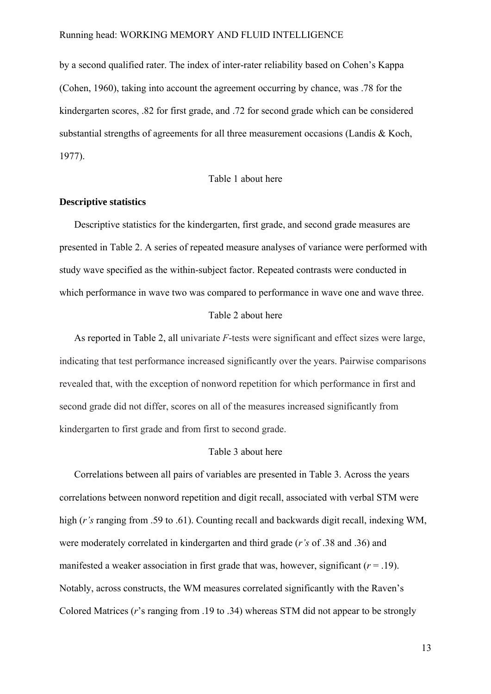by a second qualified rater. The index of inter-rater reliability based on Cohen's Kappa (Cohen, 1960), taking into account the agreement occurring by chance, was .78 for the kindergarten scores, .82 for first grade, and .72 for second grade which can be considered substantial strengths of agreements for all three measurement occasions (Landis & Koch, 1977).

## Table 1 about here

#### **Descriptive statistics**

Descriptive statistics for the kindergarten, first grade, and second grade measures are presented in Table 2. A series of repeated measure analyses of variance were performed with study wave specified as the within-subject factor. Repeated contrasts were conducted in which performance in wave two was compared to performance in wave one and wave three.

## Table 2 about here

As reported in Table 2, all univariate *F*-tests were significant and effect sizes were large, indicating that test performance increased significantly over the years. Pairwise comparisons revealed that, with the exception of nonword repetition for which performance in first and second grade did not differ, scores on all of the measures increased significantly from kindergarten to first grade and from first to second grade.

### Table 3 about here

Correlations between all pairs of variables are presented in Table 3. Across the years correlations between nonword repetition and digit recall, associated with verbal STM were high (*r's* ranging from .59 to .61). Counting recall and backwards digit recall, indexing WM, were moderately correlated in kindergarten and third grade (*r's* of .38 and .36) and manifested a weaker association in first grade that was, however, significant  $(r = .19)$ . Notably, across constructs, the WM measures correlated significantly with the Raven's Colored Matrices (*r*'s ranging from .19 to .34) whereas STM did not appear to be strongly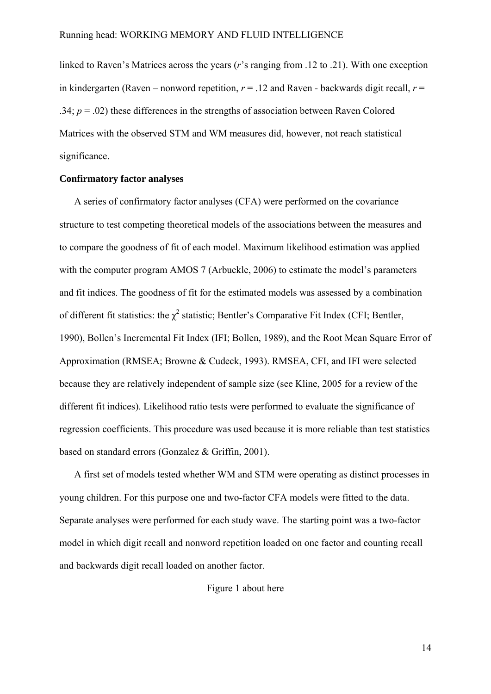linked to Raven's Matrices across the years (*r*'s ranging from .12 to .21). With one exception in kindergarten (Raven – nonword repetition,  $r = 0.12$  and Raven - backwards digit recall,  $r =$ .34;  $p = .02$ ) these differences in the strengths of association between Raven Colored Matrices with the observed STM and WM measures did, however, not reach statistical significance.

# **Confirmatory factor analyses**

A series of confirmatory factor analyses (CFA) were performed on the covariance structure to test competing theoretical models of the associations between the measures and to compare the goodness of fit of each model. Maximum likelihood estimation was applied with the computer program AMOS 7 (Arbuckle, 2006) to estimate the model's parameters and fit indices. The goodness of fit for the estimated models was assessed by a combination of different fit statistics: the  $\chi^2$  statistic; Bentler's Comparative Fit Index (CFI; Bentler, 1990), Bollen's Incremental Fit Index (IFI; Bollen, 1989), and the Root Mean Square Error of Approximation (RMSEA; Browne & Cudeck, 1993). RMSEA, CFI, and IFI were selected because they are relatively independent of sample size (see Kline, 2005 for a review of the different fit indices). Likelihood ratio tests were performed to evaluate the significance of regression coefficients. This procedure was used because it is more reliable than test statistics based on standard errors (Gonzalez & Griffin, 2001).

A first set of models tested whether WM and STM were operating as distinct processes in young children. For this purpose one and two-factor CFA models were fitted to the data. Separate analyses were performed for each study wave. The starting point was a two-factor model in which digit recall and nonword repetition loaded on one factor and counting recall and backwards digit recall loaded on another factor.

Figure 1 about here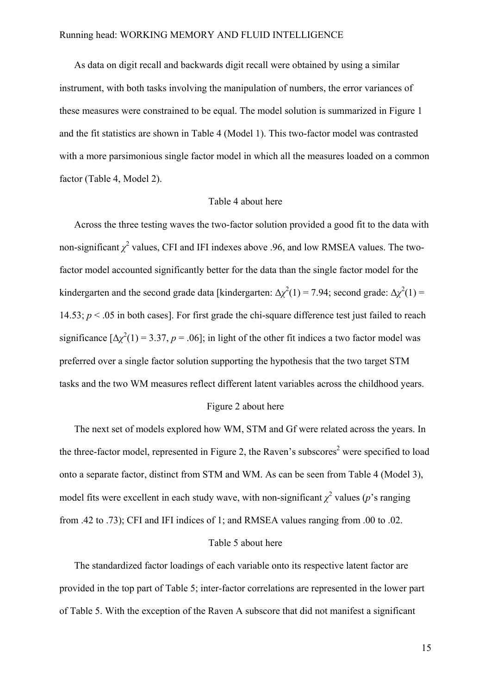As data on digit recall and backwards digit recall were obtained by using a similar instrument, with both tasks involving the manipulation of numbers, the error variances of these measures were constrained to be equal. The model solution is summarized in Figure 1 and the fit statistics are shown in Table 4 (Model 1). This two-factor model was contrasted with a more parsimonious single factor model in which all the measures loaded on a common factor (Table 4, Model 2).

#### Table 4 about here

Across the three testing waves the two-factor solution provided a good fit to the data with non-significant  $\chi^2$  values, CFI and IFI indexes above .96, and low RMSEA values. The twofactor model accounted significantly better for the data than the single factor model for the kindergarten and the second grade data [kindergarten:  $\Delta \chi^2(1) = 7.94$ ; second grade:  $\Delta \chi^2(1) =$ 14.53;  $p < 0.05$  in both cases]. For first grade the chi-square difference test just failed to reach significance  $[\Delta \chi^2(1) = 3.37, p = .06]$ ; in light of the other fit indices a two factor model was preferred over a single factor solution supporting the hypothesis that the two target STM tasks and the two WM measures reflect different latent variables across the childhood years.

# Figure 2 about here

The next set of models explored how WM, STM and Gf were related across the years. In the three-factor model, represented in Figure 2, the Raven's subscores<sup>2</sup> were specified to load onto a separate factor, distinct from STM and WM. As can be seen from Table 4 (Model 3), model fits were excellent in each study wave, with non-significant  $\chi^2$  values (*p*'s ranging from .42 to .73); CFI and IFI indices of 1; and RMSEA values ranging from .00 to .02.

## Table 5 about here

The standardized factor loadings of each variable onto its respective latent factor are provided in the top part of Table 5; inter-factor correlations are represented in the lower part of Table 5. With the exception of the Raven A subscore that did not manifest a significant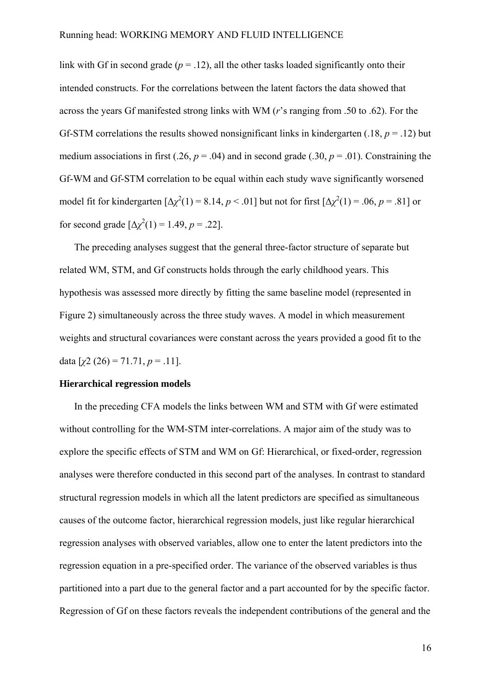link with Gf in second grade  $(p = .12)$ , all the other tasks loaded significantly onto their intended constructs. For the correlations between the latent factors the data showed that across the years Gf manifested strong links with WM (*r*'s ranging from .50 to .62). For the Gf-STM correlations the results showed nonsignificant links in kindergarten (.18,  $p = .12$ ) but medium associations in first (.26,  $p = .04$ ) and in second grade (.30,  $p = .01$ ). Constraining the Gf-WM and Gf-STM correlation to be equal within each study wave significantly worsened model fit for kindergarten  $[\Delta \chi^2(1) = 8.14, p < .01]$  but not for first  $[\Delta \chi^2(1) = .06, p = .81]$  or for second grade  $[\Delta \chi^2(1) = 1.49, p = .22]$ .

The preceding analyses suggest that the general three-factor structure of separate but related WM, STM, and Gf constructs holds through the early childhood years. This hypothesis was assessed more directly by fitting the same baseline model (represented in Figure 2) simultaneously across the three study waves. A model in which measurement weights and structural covariances were constant across the years provided a good fit to the data  $[\chi^2(26) = 71.71, p = .11]$ .

### **Hierarchical regression models**

In the preceding CFA models the links between WM and STM with Gf were estimated without controlling for the WM-STM inter-correlations. A major aim of the study was to explore the specific effects of STM and WM on Gf: Hierarchical, or fixed-order, regression analyses were therefore conducted in this second part of the analyses. In contrast to standard structural regression models in which all the latent predictors are specified as simultaneous causes of the outcome factor, hierarchical regression models, just like regular hierarchical regression analyses with observed variables, allow one to enter the latent predictors into the regression equation in a pre-specified order. The variance of the observed variables is thus partitioned into a part due to the general factor and a part accounted for by the specific factor. Regression of Gf on these factors reveals the independent contributions of the general and the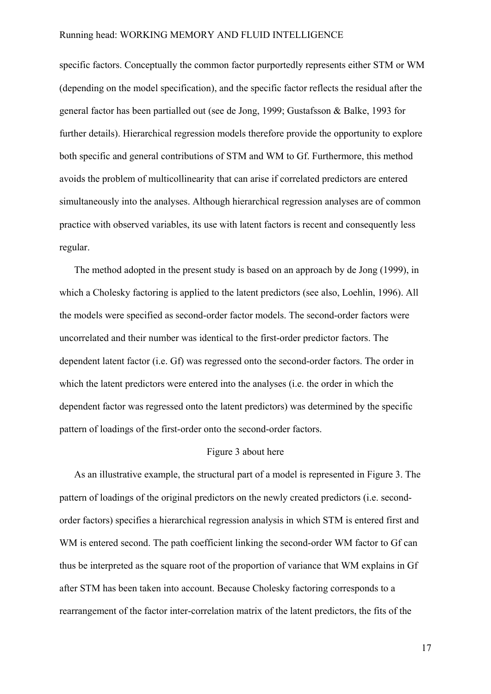specific factors. Conceptually the common factor purportedly represents either STM or WM (depending on the model specification), and the specific factor reflects the residual after the general factor has been partialled out (see de Jong, 1999; Gustafsson & Balke, 1993 for further details). Hierarchical regression models therefore provide the opportunity to explore both specific and general contributions of STM and WM to Gf. Furthermore, this method avoids the problem of multicollinearity that can arise if correlated predictors are entered simultaneously into the analyses. Although hierarchical regression analyses are of common practice with observed variables, its use with latent factors is recent and consequently less regular.

The method adopted in the present study is based on an approach by de Jong (1999), in which a Cholesky factoring is applied to the latent predictors (see also, Loehlin, 1996). All the models were specified as second-order factor models. The second-order factors were uncorrelated and their number was identical to the first-order predictor factors. The dependent latent factor (i.e. Gf) was regressed onto the second-order factors. The order in which the latent predictors were entered into the analyses (i.e. the order in which the dependent factor was regressed onto the latent predictors) was determined by the specific pattern of loadings of the first-order onto the second-order factors.

#### Figure 3 about here

As an illustrative example, the structural part of a model is represented in Figure 3. The pattern of loadings of the original predictors on the newly created predictors (i.e. secondorder factors) specifies a hierarchical regression analysis in which STM is entered first and WM is entered second. The path coefficient linking the second-order WM factor to Gf can thus be interpreted as the square root of the proportion of variance that WM explains in Gf after STM has been taken into account. Because Cholesky factoring corresponds to a rearrangement of the factor inter-correlation matrix of the latent predictors, the fits of the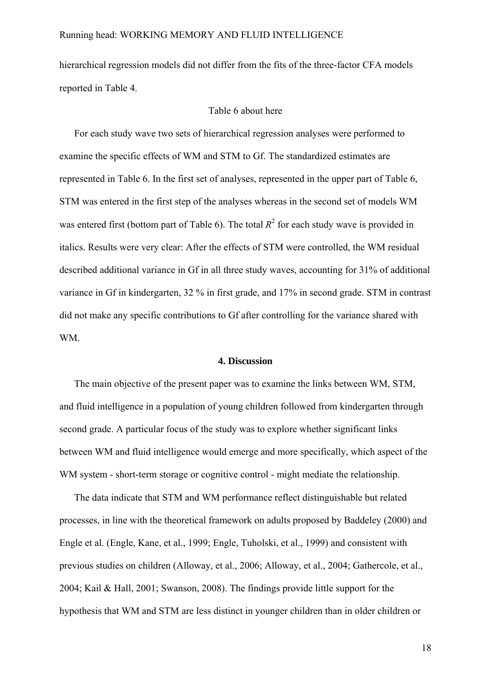hierarchical regression models did not differ from the fits of the three-factor CFA models reported in Table 4.

#### Table 6 about here

For each study wave two sets of hierarchical regression analyses were performed to examine the specific effects of WM and STM to Gf. The standardized estimates are represented in Table 6. In the first set of analyses, represented in the upper part of Table 6, STM was entered in the first step of the analyses whereas in the second set of models WM was entered first (bottom part of Table 6). The total  $R^2$  for each study wave is provided in italics. Results were very clear: After the effects of STM were controlled, the WM residual described additional variance in Gf in all three study waves, accounting for 31% of additional variance in Gf in kindergarten, 32 % in first grade, and 17% in second grade. STM in contrast did not make any specific contributions to Gf after controlling for the variance shared with WM.

#### **4. Discussion**

The main objective of the present paper was to examine the links between WM, STM, and fluid intelligence in a population of young children followed from kindergarten through second grade. A particular focus of the study was to explore whether significant links between WM and fluid intelligence would emerge and more specifically, which aspect of the WM system - short-term storage or cognitive control - might mediate the relationship.

The data indicate that STM and WM performance reflect distinguishable but related processes, in line with the theoretical framework on adults proposed by Baddeley (2000) and Engle et al. (Engle, Kane, et al., 1999; Engle, Tuholski, et al., 1999) and consistent with previous studies on children (Alloway, et al., 2006; Alloway, et al., 2004; Gathercole, et al., 2004; Kail & Hall, 2001; Swanson, 2008). The findings provide little support for the hypothesis that WM and STM are less distinct in younger children than in older children or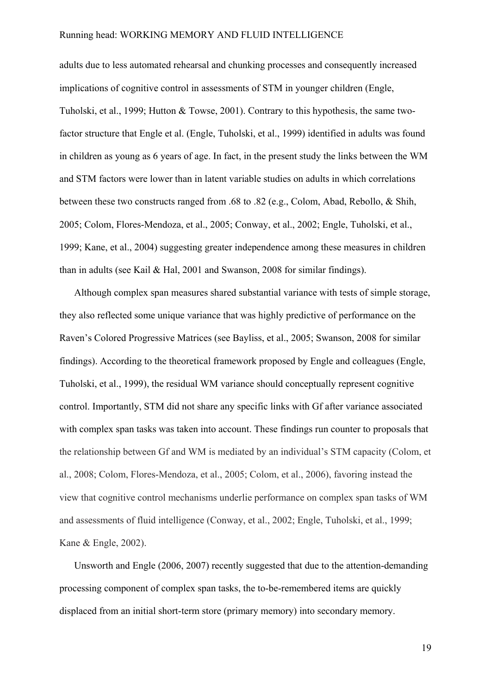adults due to less automated rehearsal and chunking processes and consequently increased implications of cognitive control in assessments of STM in younger children (Engle, Tuholski, et al., 1999; Hutton & Towse, 2001). Contrary to this hypothesis, the same twofactor structure that Engle et al. (Engle, Tuholski, et al., 1999) identified in adults was found in children as young as 6 years of age. In fact, in the present study the links between the WM and STM factors were lower than in latent variable studies on adults in which correlations between these two constructs ranged from .68 to .82 (e.g., Colom, Abad, Rebollo, & Shih, 2005; Colom, Flores-Mendoza, et al., 2005; Conway, et al., 2002; Engle, Tuholski, et al., 1999; Kane, et al., 2004) suggesting greater independence among these measures in children than in adults (see Kail & Hal, 2001 and Swanson, 2008 for similar findings).

Although complex span measures shared substantial variance with tests of simple storage, they also reflected some unique variance that was highly predictive of performance on the Raven's Colored Progressive Matrices (see Bayliss, et al., 2005; Swanson, 2008 for similar findings). According to the theoretical framework proposed by Engle and colleagues (Engle, Tuholski, et al., 1999), the residual WM variance should conceptually represent cognitive control. Importantly, STM did not share any specific links with Gf after variance associated with complex span tasks was taken into account. These findings run counter to proposals that the relationship between Gf and WM is mediated by an individual's STM capacity (Colom, et al., 2008; Colom, Flores-Mendoza, et al., 2005; Colom, et al., 2006), favoring instead the view that cognitive control mechanisms underlie performance on complex span tasks of WM and assessments of fluid intelligence (Conway, et al., 2002; Engle, Tuholski, et al., 1999; Kane & Engle, 2002).

Unsworth and Engle (2006, 2007) recently suggested that due to the attention-demanding processing component of complex span tasks, the to-be-remembered items are quickly displaced from an initial short-term store (primary memory) into secondary memory.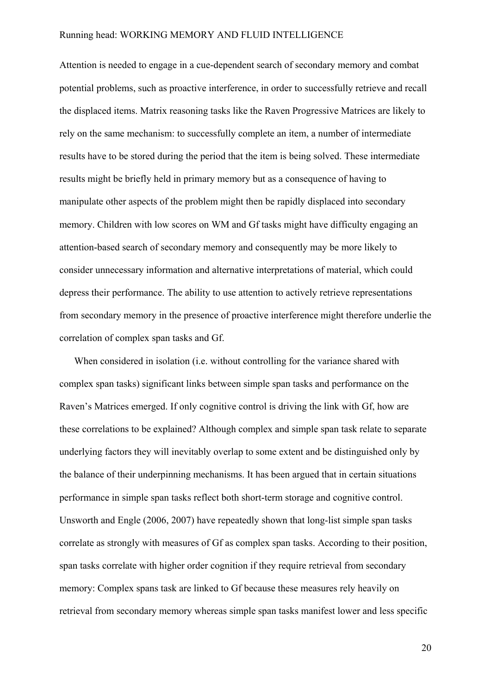Attention is needed to engage in a cue-dependent search of secondary memory and combat potential problems, such as proactive interference, in order to successfully retrieve and recall the displaced items. Matrix reasoning tasks like the Raven Progressive Matrices are likely to rely on the same mechanism: to successfully complete an item, a number of intermediate results have to be stored during the period that the item is being solved. These intermediate results might be briefly held in primary memory but as a consequence of having to manipulate other aspects of the problem might then be rapidly displaced into secondary memory. Children with low scores on WM and Gf tasks might have difficulty engaging an attention-based search of secondary memory and consequently may be more likely to consider unnecessary information and alternative interpretations of material, which could depress their performance. The ability to use attention to actively retrieve representations from secondary memory in the presence of proactive interference might therefore underlie the correlation of complex span tasks and Gf.

When considered in isolation (i.e. without controlling for the variance shared with complex span tasks) significant links between simple span tasks and performance on the Raven's Matrices emerged. If only cognitive control is driving the link with Gf, how are these correlations to be explained? Although complex and simple span task relate to separate underlying factors they will inevitably overlap to some extent and be distinguished only by the balance of their underpinning mechanisms. It has been argued that in certain situations performance in simple span tasks reflect both short-term storage and cognitive control. Unsworth and Engle (2006, 2007) have repeatedly shown that long-list simple span tasks correlate as strongly with measures of Gf as complex span tasks. According to their position, span tasks correlate with higher order cognition if they require retrieval from secondary memory: Complex spans task are linked to Gf because these measures rely heavily on retrieval from secondary memory whereas simple span tasks manifest lower and less specific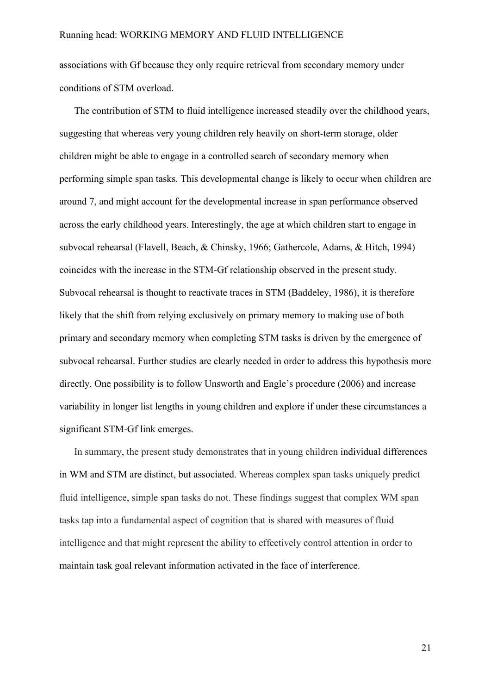associations with Gf because they only require retrieval from secondary memory under conditions of STM overload.

The contribution of STM to fluid intelligence increased steadily over the childhood years, suggesting that whereas very young children rely heavily on short-term storage, older children might be able to engage in a controlled search of secondary memory when performing simple span tasks. This developmental change is likely to occur when children are around 7, and might account for the developmental increase in span performance observed across the early childhood years. Interestingly, the age at which children start to engage in subvocal rehearsal (Flavell, Beach, & Chinsky, 1966; Gathercole, Adams, & Hitch, 1994) coincides with the increase in the STM-Gf relationship observed in the present study. Subvocal rehearsal is thought to reactivate traces in STM (Baddeley, 1986), it is therefore likely that the shift from relying exclusively on primary memory to making use of both primary and secondary memory when completing STM tasks is driven by the emergence of subvocal rehearsal. Further studies are clearly needed in order to address this hypothesis more directly. One possibility is to follow Unsworth and Engle's procedure (2006) and increase variability in longer list lengths in young children and explore if under these circumstances a significant STM-Gf link emerges.

In summary, the present study demonstrates that in young children individual differences in WM and STM are distinct, but associated. Whereas complex span tasks uniquely predict fluid intelligence, simple span tasks do not. These findings suggest that complex WM span tasks tap into a fundamental aspect of cognition that is shared with measures of fluid intelligence and that might represent the ability to effectively control attention in order to maintain task goal relevant information activated in the face of interference.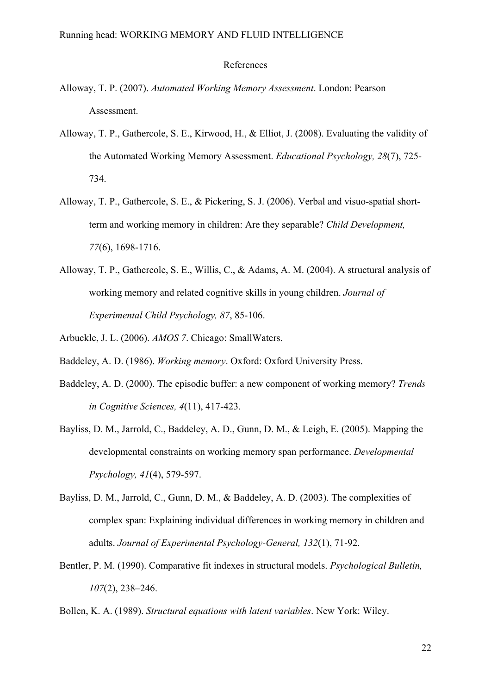#### References

- Alloway, T. P. (2007). *Automated Working Memory Assessment*. London: Pearson Assessment.
- Alloway, T. P., Gathercole, S. E., Kirwood, H., & Elliot, J. (2008). Evaluating the validity of the Automated Working Memory Assessment. *Educational Psychology, 28*(7), 725- 734.
- Alloway, T. P., Gathercole, S. E., & Pickering, S. J. (2006). Verbal and visuo-spatial shortterm and working memory in children: Are they separable? *Child Development, 77*(6), 1698-1716.
- Alloway, T. P., Gathercole, S. E., Willis, C., & Adams, A. M. (2004). A structural analysis of working memory and related cognitive skills in young children. *Journal of Experimental Child Psychology, 87*, 85-106.
- Arbuckle, J. L. (2006). *AMOS 7*. Chicago: SmallWaters.
- Baddeley, A. D. (1986). *Working memory*. Oxford: Oxford University Press.
- Baddeley, A. D. (2000). The episodic buffer: a new component of working memory? *Trends in Cognitive Sciences, 4*(11), 417-423.
- Bayliss, D. M., Jarrold, C., Baddeley, A. D., Gunn, D. M., & Leigh, E. (2005). Mapping the developmental constraints on working memory span performance. *Developmental Psychology, 41*(4), 579-597.
- Bayliss, D. M., Jarrold, C., Gunn, D. M., & Baddeley, A. D. (2003). The complexities of complex span: Explaining individual differences in working memory in children and adults. *Journal of Experimental Psychology-General, 132*(1), 71-92.
- Bentler, P. M. (1990). Comparative fit indexes in structural models. *Psychological Bulletin, 107*(2), 238–246.
- Bollen, K. A. (1989). *Structural equations with latent variables*. New York: Wiley.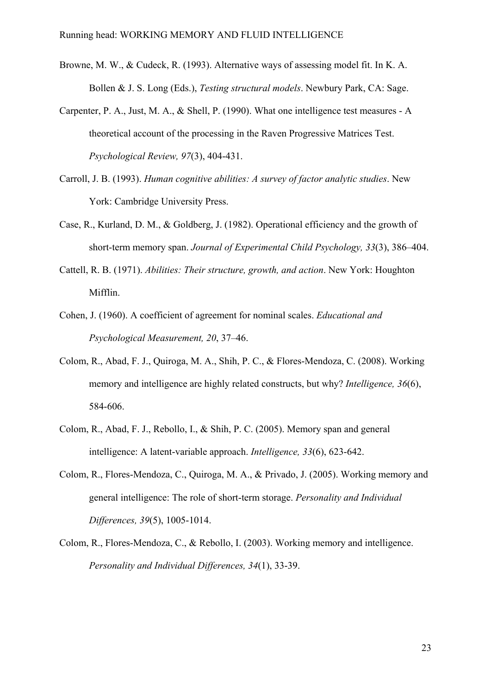- Browne, M. W., & Cudeck, R. (1993). Alternative ways of assessing model fit. In K. A. Bollen & J. S. Long (Eds.), *Testing structural models*. Newbury Park, CA: Sage.
- Carpenter, P. A., Just, M. A., & Shell, P. (1990). What one intelligence test measures A theoretical account of the processing in the Raven Progressive Matrices Test. *Psychological Review, 97*(3), 404-431.
- Carroll, J. B. (1993). *Human cognitive abilities: A survey of factor analytic studies*. New York: Cambridge University Press.
- Case, R., Kurland, D. M., & Goldberg, J. (1982). Operational efficiency and the growth of short-term memory span. *Journal of Experimental Child Psychology, 33*(3), 386–404.
- Cattell, R. B. (1971). *Abilities: Their structure, growth, and action*. New York: Houghton Mifflin.
- Cohen, J. (1960). A coefficient of agreement for nominal scales. *Educational and Psychological Measurement, 20*, 37–46.
- Colom, R., Abad, F. J., Quiroga, M. A., Shih, P. C., & Flores-Mendoza, C. (2008). Working memory and intelligence are highly related constructs, but why? *Intelligence, 36*(6), 584-606.
- Colom, R., Abad, F. J., Rebollo, I., & Shih, P. C. (2005). Memory span and general intelligence: A latent-variable approach. *Intelligence, 33*(6), 623-642.
- Colom, R., Flores-Mendoza, C., Quiroga, M. A., & Privado, J. (2005). Working memory and general intelligence: The role of short-term storage. *Personality and Individual Differences, 39*(5), 1005-1014.
- Colom, R., Flores-Mendoza, C., & Rebollo, I. (2003). Working memory and intelligence. *Personality and Individual Differences, 34*(1), 33-39.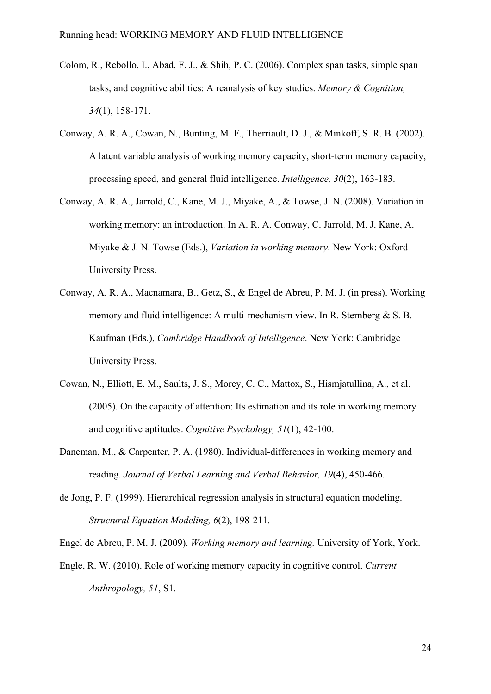- Colom, R., Rebollo, I., Abad, F. J., & Shih, P. C. (2006). Complex span tasks, simple span tasks, and cognitive abilities: A reanalysis of key studies. *Memory & Cognition, 34*(1), 158-171.
- Conway, A. R. A., Cowan, N., Bunting, M. F., Therriault, D. J., & Minkoff, S. R. B. (2002). A latent variable analysis of working memory capacity, short-term memory capacity, processing speed, and general fluid intelligence. *Intelligence, 30*(2), 163-183.
- Conway, A. R. A., Jarrold, C., Kane, M. J., Miyake, A., & Towse, J. N. (2008). Variation in working memory: an introduction. In A. R. A. Conway, C. Jarrold, M. J. Kane, A. Miyake & J. N. Towse (Eds.), *Variation in working memory*. New York: Oxford University Press.
- Conway, A. R. A., Macnamara, B., Getz, S., & Engel de Abreu, P. M. J. (in press). Working memory and fluid intelligence: A multi-mechanism view. In R. Sternberg & S. B. Kaufman (Eds.), *Cambridge Handbook of Intelligence*. New York: Cambridge University Press.
- Cowan, N., Elliott, E. M., Saults, J. S., Morey, C. C., Mattox, S., Hismjatullina, A., et al. (2005). On the capacity of attention: Its estimation and its role in working memory and cognitive aptitudes. *Cognitive Psychology, 51*(1), 42-100.
- Daneman, M., & Carpenter, P. A. (1980). Individual-differences in working memory and reading. *Journal of Verbal Learning and Verbal Behavior, 19*(4), 450-466.
- de Jong, P. F. (1999). Hierarchical regression analysis in structural equation modeling. *Structural Equation Modeling, 6*(2), 198-211.

Engel de Abreu, P. M. J. (2009). *Working memory and learning.* University of York, York.

Engle, R. W. (2010). Role of working memory capacity in cognitive control. *Current Anthropology, 51*, S1.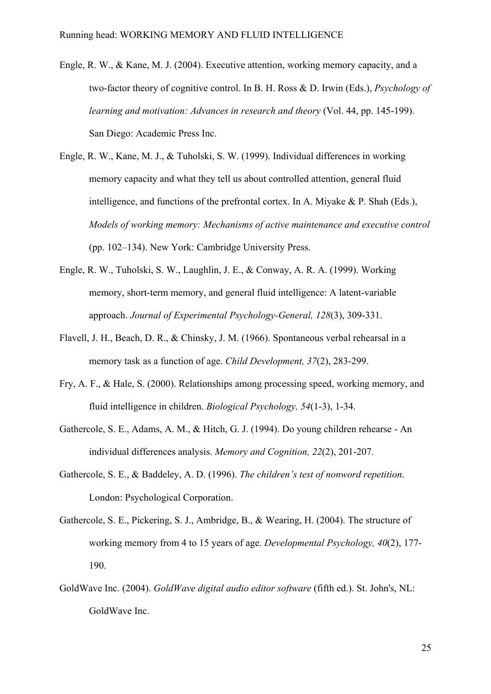- Engle, R. W., & Kane, M. J. (2004). Executive attention, working memory capacity, and a two-factor theory of cognitive control. In B. H. Ross & D. Irwin (Eds.), *Psychology of learning and motivation: Advances in research and theory* (Vol. 44, pp. 145-199). San Diego: Academic Press Inc.
- Engle, R. W., Kane, M. J., & Tuholski, S. W. (1999). Individual differences in working memory capacity and what they tell us about controlled attention, general fluid intelligence, and functions of the prefrontal cortex. In A. Miyake & P. Shah (Eds.), *Models of working memory: Mechanisms of active maintenance and executive control* (pp. 102–134). New York: Cambridge University Press.
- Engle, R. W., Tuholski, S. W., Laughlin, J. E., & Conway, A. R. A. (1999). Working memory, short-term memory, and general fluid intelligence: A latent-variable approach. *Journal of Experimental Psychology-General, 128*(3), 309-331.
- Flavell, J. H., Beach, D. R., & Chinsky, J. M. (1966). Spontaneous verbal rehearsal in a memory task as a function of age. *Child Development, 37*(2), 283-299.
- Fry, A. F., & Hale, S. (2000). Relationships among processing speed, working memory, and fluid intelligence in children. *Biological Psychology, 54*(1-3), 1-34.
- Gathercole, S. E., Adams, A. M., & Hitch, G. J. (1994). Do young children rehearse An individual differences analysis. *Memory and Cognition, 22*(2), 201-207.
- Gathercole, S. E., & Baddeley, A. D. (1996). *The children's test of nonword repetition*. London: Psychological Corporation.
- Gathercole, S. E., Pickering, S. J., Ambridge, B., & Wearing, H. (2004). The structure of working memory from 4 to 15 years of age. *Developmental Psychology, 40*(2), 177- 190.
- GoldWave Inc. (2004). *GoldWave digital audio editor software* (fifth ed.). St. John's, NL: GoldWave Inc.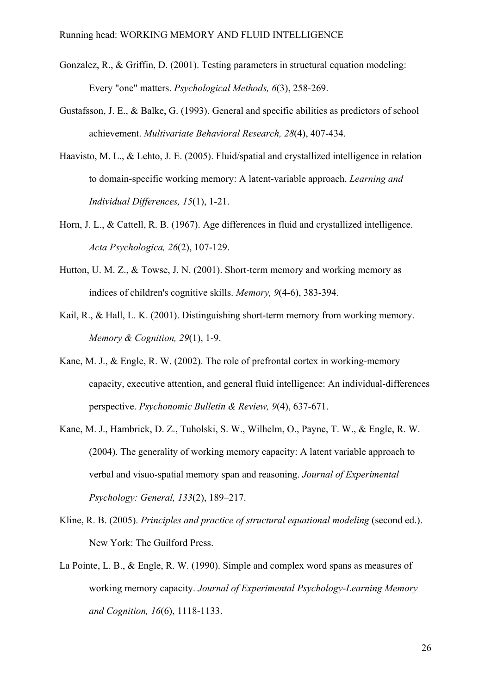- Gonzalez, R., & Griffin, D. (2001). Testing parameters in structural equation modeling: Every "one" matters. *Psychological Methods, 6*(3), 258-269.
- Gustafsson, J. E., & Balke, G. (1993). General and specific abilities as predictors of school achievement. *Multivariate Behavioral Research, 28*(4), 407-434.
- Haavisto, M. L., & Lehto, J. E. (2005). Fluid/spatial and crystallized intelligence in relation to domain-specific working memory: A latent-variable approach. *Learning and Individual Differences, 15*(1), 1-21.
- Horn, J. L., & Cattell, R. B. (1967). Age differences in fluid and crystallized intelligence. *Acta Psychologica, 26*(2), 107-129.
- Hutton, U. M. Z., & Towse, J. N. (2001). Short-term memory and working memory as indices of children's cognitive skills. *Memory, 9*(4-6), 383-394.
- Kail, R., & Hall, L. K. (2001). Distinguishing short-term memory from working memory. *Memory & Cognition, 29*(1), 1-9.
- Kane, M. J., & Engle, R. W. (2002). The role of prefrontal cortex in working-memory capacity, executive attention, and general fluid intelligence: An individual-differences perspective. *Psychonomic Bulletin & Review, 9*(4), 637-671.
- Kane, M. J., Hambrick, D. Z., Tuholski, S. W., Wilhelm, O., Payne, T. W., & Engle, R. W. (2004). The generality of working memory capacity: A latent variable approach to verbal and visuo-spatial memory span and reasoning. *Journal of Experimental Psychology: General, 133*(2), 189–217.
- Kline, R. B. (2005). *Principles and practice of structural equational modeling* (second ed.). New York: The Guilford Press.
- La Pointe, L. B., & Engle, R. W. (1990). Simple and complex word spans as measures of working memory capacity. *Journal of Experimental Psychology-Learning Memory and Cognition, 16*(6), 1118-1133.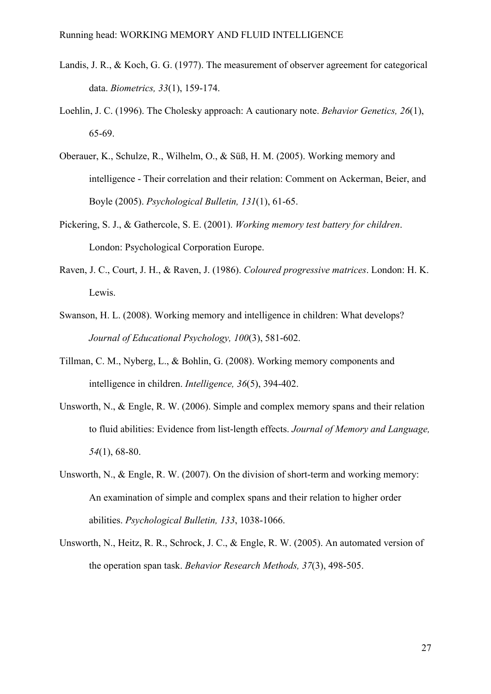- Landis, J. R., & Koch, G. G. (1977). The measurement of observer agreement for categorical data. *Biometrics, 33*(1), 159-174.
- Loehlin, J. C. (1996). The Cholesky approach: A cautionary note. *Behavior Genetics, 26*(1), 65-69.
- Oberauer, K., Schulze, R., Wilhelm, O., & Süß, H. M. (2005). Working memory and intelligence - Their correlation and their relation: Comment on Ackerman, Beier, and Boyle (2005). *Psychological Bulletin, 131*(1), 61-65.
- Pickering, S. J., & Gathercole, S. E. (2001). *Working memory test battery for children*. London: Psychological Corporation Europe.
- Raven, J. C., Court, J. H., & Raven, J. (1986). *Coloured progressive matrices*. London: H. K. Lewis.
- Swanson, H. L. (2008). Working memory and intelligence in children: What develops? *Journal of Educational Psychology, 100*(3), 581-602.
- Tillman, C. M., Nyberg, L., & Bohlin, G. (2008). Working memory components and intelligence in children. *Intelligence, 36*(5), 394-402.
- Unsworth, N., & Engle, R. W. (2006). Simple and complex memory spans and their relation to fluid abilities: Evidence from list-length effects. *Journal of Memory and Language, 54*(1), 68-80.
- Unsworth, N., & Engle, R. W. (2007). On the division of short-term and working memory: An examination of simple and complex spans and their relation to higher order abilities. *Psychological Bulletin, 133*, 1038-1066.
- Unsworth, N., Heitz, R. R., Schrock, J. C., & Engle, R. W. (2005). An automated version of the operation span task. *Behavior Research Methods, 37*(3), 498-505.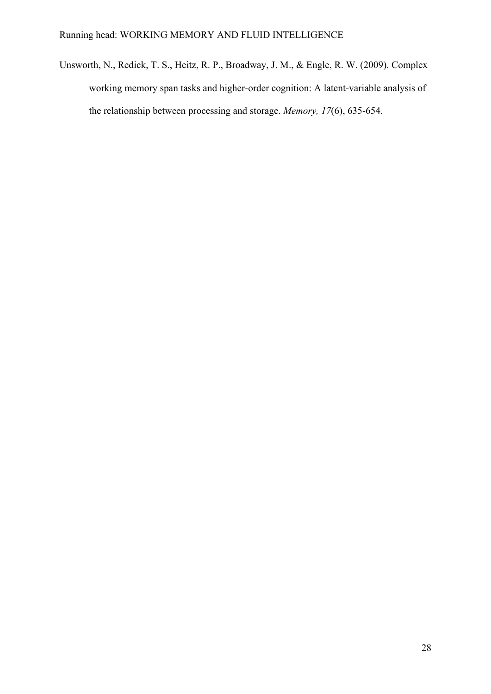Unsworth, N., Redick, T. S., Heitz, R. P., Broadway, J. M., & Engle, R. W. (2009). Complex working memory span tasks and higher-order cognition: A latent-variable analysis of the relationship between processing and storage. *Memory, 17*(6), 635-654.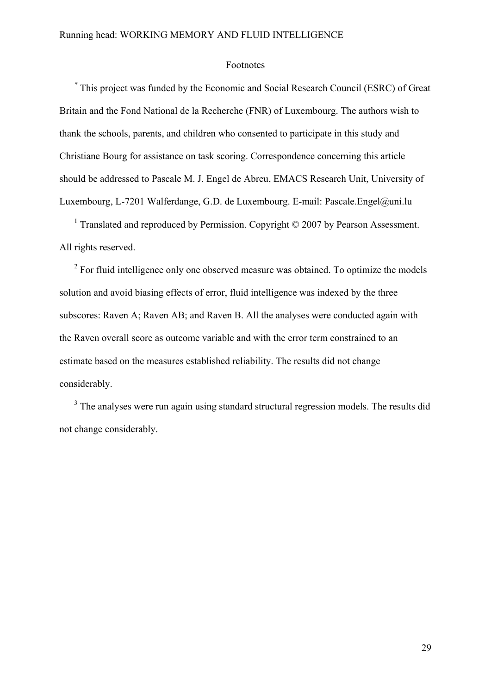#### Footnotes

*\** This project was funded by the Economic and Social Research Council (ESRC) of Great Britain and the Fond National de la Recherche (FNR) of Luxembourg. The authors wish to thank the schools, parents, and children who consented to participate in this study and Christiane Bourg for assistance on task scoring. Correspondence concerning this article should be addressed to Pascale M. J. Engel de Abreu, EMACS Research Unit, University of Luxembourg, L-7201 Walferdange, G.D. de Luxembourg. E-mail: Pascale.Engel@uni.lu

<sup>1</sup> Translated and reproduced by Permission. Copyright © 2007 by Pearson Assessment. All rights reserved.

 $2^2$  For fluid intelligence only one observed measure was obtained. To optimize the models solution and avoid biasing effects of error, fluid intelligence was indexed by the three subscores: Raven A; Raven AB; and Raven B. All the analyses were conducted again with the Raven overall score as outcome variable and with the error term constrained to an estimate based on the measures established reliability. The results did not change considerably.

 $3$  The analyses were run again using standard structural regression models. The results did not change considerably.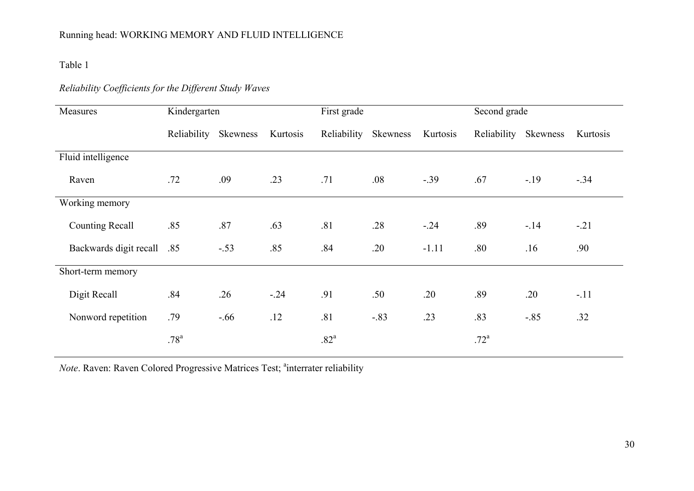Table 1

# *Reliability Coefficients for the Different Study Waves*

| Measures                   | Kindergarten     |          |          | First grade      |                 |          | Second grade     |          |          |  |
|----------------------------|------------------|----------|----------|------------------|-----------------|----------|------------------|----------|----------|--|
|                            | Reliability      | Skewness | Kurtosis | Reliability      | <b>Skewness</b> | Kurtosis | Reliability      | Skewness | Kurtosis |  |
| Fluid intelligence         |                  |          |          |                  |                 |          |                  |          |          |  |
| Raven                      | .72              | .09      | .23      | .71              | .08             | $-0.39$  | .67              | $-19$    | $-.34$   |  |
| Working memory             |                  |          |          |                  |                 |          |                  |          |          |  |
| <b>Counting Recall</b>     | .85              | .87      | .63      | .81              | .28             | $-.24$   | .89              | $-.14$   | $-.21$   |  |
| Backwards digit recall .85 |                  | $-.53$   | .85      | .84              | .20             | $-1.11$  | .80              | .16      | .90      |  |
| Short-term memory          |                  |          |          |                  |                 |          |                  |          |          |  |
| Digit Recall               | .84              | .26      | $-.24$   | .91              | .50             | .20      | .89              | .20      | $-.11$   |  |
| Nonword repetition         | .79              | $-.66$   | .12      | .81              | $-.83$          | .23      | .83              | $-0.85$  | .32      |  |
|                            | .78 <sup>a</sup> |          |          | .82 <sup>a</sup> |                 |          | .72 <sup>a</sup> |          |          |  |

*Note.* Raven: Raven Colored Progressive Matrices Test; <sup>a</sup>interrater reliability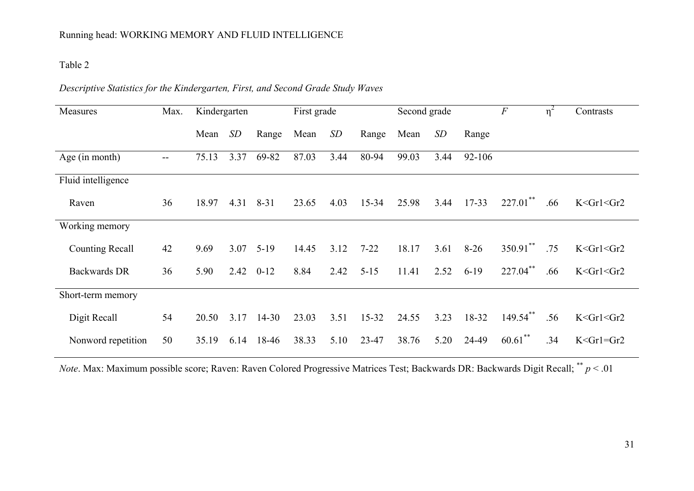## Table 2

# *Descriptive Statistics for the Kindergarten, First, and Second Grade Study Waves*

| Measures               | Max.              | Kindergarten |      |           | First grade |      |           | Second grade |      |            | $\overline{F}$ | $\eta^2$ | Contrasts         |
|------------------------|-------------------|--------------|------|-----------|-------------|------|-----------|--------------|------|------------|----------------|----------|-------------------|
|                        |                   | Mean         | SD   | Range     | Mean        | SD   | Range     | Mean         | SD   | Range      |                |          |                   |
| Age (in month)         | $\qquad \qquad -$ | 75.13        | 3.37 | 69-82     | 87.03       | 3.44 | 80-94     | 99.03        | 3.44 | $92 - 106$ |                |          |                   |
| Fluid intelligence     |                   |              |      |           |             |      |           |              |      |            |                |          |                   |
| Raven                  | 36                | 18.97        | 4.31 | $8 - 31$  | 23.65       | 4.03 | $15 - 34$ | 25.98        | 3.44 | $17 - 33$  | $227.01$ **    | .66      | $K <$ Gr1 $<$ Gr2 |
| Working memory         |                   |              |      |           |             |      |           |              |      |            |                |          |                   |
| <b>Counting Recall</b> | 42                | 9.69         | 3.07 | $5-19$    | 14.45       | 3.12 | $7 - 22$  | 18.17        | 3.61 | $8-26$     | $350.91$ **    | .75      | $K <$ Grl $<$ Gr2 |
| <b>Backwards DR</b>    | 36                | 5.90         | 2.42 | $0 - 12$  | 8.84        | 2.42 | $5 - 15$  | 11.41        | 2.52 | $6-19$     | 227.04**       | .66      | $K <$ Gr1 $<$ Gr2 |
| Short-term memory      |                   |              |      |           |             |      |           |              |      |            |                |          |                   |
| Digit Recall           | 54                | 20.50        | 3.17 | $14 - 30$ | 23.03       | 3.51 | $15 - 32$ | 24.55        | 3.23 | 18-32      | 149.54**       | .56      | $K <$ Gr1 $<$ Gr2 |
| Nonword repetition     | 50                | 35.19        | 6.14 | 18-46     | 38.33       | 5.10 | 23-47     | 38.76        | 5.20 | 24-49      | $60.61$ **     | .34      | $K <$ Gr1=Gr2     |

*Note*. Max: Maximum possible score; Raven: Raven Colored Progressive Matrices Test; Backwards DR: Backwards Digit Recall; \*\* *<sup>p</sup>* < .01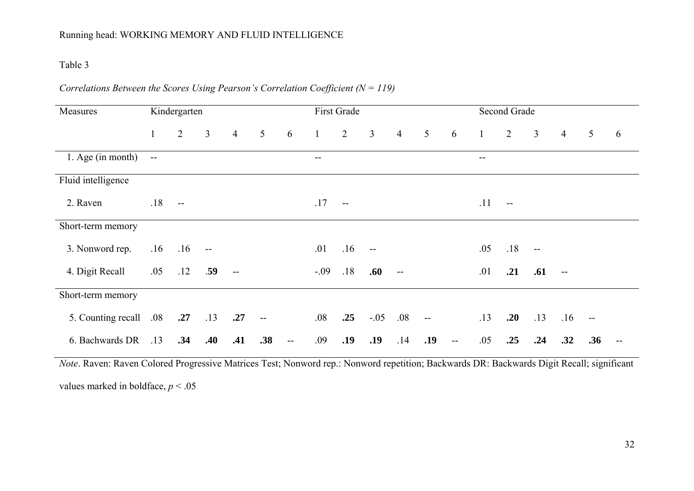#### Table 3

# *Correlations Between the Scores Using Pearson's Correlation Coefficient (N = 119)*

| Kindergarten<br>Measures |              |                | First Grade  |                |                                               |                          | Second Grade |                |                |                |                 |                          |               |               |                |                |                 |   |
|--------------------------|--------------|----------------|--------------|----------------|-----------------------------------------------|--------------------------|--------------|----------------|----------------|----------------|-----------------|--------------------------|---------------|---------------|----------------|----------------|-----------------|---|
|                          | $\mathbf{1}$ | $\overline{2}$ | $\mathbf{3}$ | $\overline{4}$ | $\overline{5}$                                | 6                        | $\mathbf{1}$ | $\overline{2}$ | $\overline{3}$ | $\overline{4}$ | $5\overline{)}$ | 6                        | $\frac{1}{2}$ | 2             | $\overline{3}$ | $\overline{4}$ | $5\overline{)}$ | 6 |
| 1. Age (in month)        | $\sim$       |                |              |                |                                               |                          | --           |                |                |                |                 |                          | --            |               |                |                |                 |   |
| Fluid intelligence       |              |                |              |                |                                               |                          |              |                |                |                |                 |                          |               |               |                |                |                 |   |
| 2. Raven                 | .18          | - --           |              |                |                                               |                          | .17          | $\overline{a}$ |                |                |                 |                          | .11           | $\sim$ $\sim$ |                |                |                 |   |
| Short-term memory        |              |                |              |                |                                               |                          |              |                |                |                |                 |                          |               |               |                |                |                 |   |
| 3. Nonword rep.          |              | $.16$ .16      | $\sim$       |                |                                               |                          | .01          | .16            | $\sim$ $\sim$  |                |                 |                          | .05           | .18           | $\sim$ $\sim$  |                |                 |   |
| 4. Digit Recall          | .05          | .12            | .59          | $-$            |                                               |                          | $-.09$       | .18            | .60            | $-$            |                 |                          | .01           | .21           | .61            | $-$            |                 |   |
| Short-term memory        |              |                |              |                |                                               |                          |              |                |                |                |                 |                          |               |               |                |                |                 |   |
| 5. Counting recall       | $.08\,$      | .27            | .13          | .27            | $\mathord{\hspace{1pt}\text{--}\hspace{1pt}}$ |                          | .08          | .25            | $-.05$         | .08            | $\sim$          |                          | .13           | .20           | .13            | .16            |                 |   |
| 6. Bachwards DR          | .13          | .34            | .40          | .41            | .38                                           | $\overline{\phantom{a}}$ | .09          | .19            | .19            | .14            | .19             | $\overline{\phantom{a}}$ | .05           | .25           | .24            | .32            | .36             |   |

*Note*. Raven: Raven Colored Progressive Matrices Test; Nonword rep.: Nonword repetition; Backwards DR: Backwards Digit Recall; significant values marked in boldface,  $p < .05$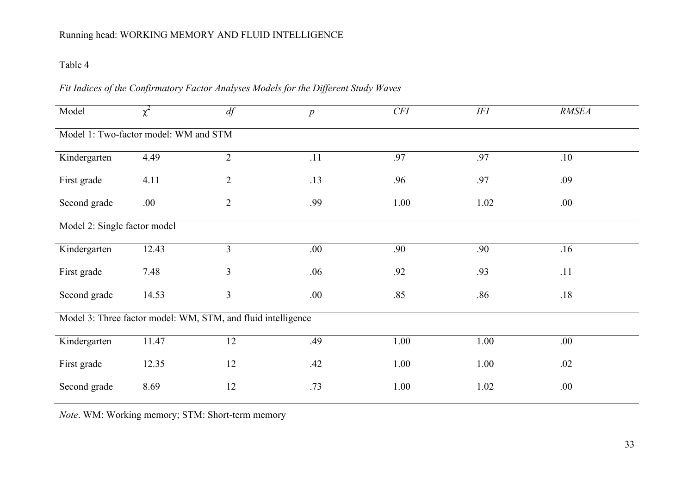# Table 4

# *Fit Indices of the Confirmatory Factor Analyses Models for the Different Study Waves*

| Model                                                        | $\chi^2$ | df             | $\overline{p}$ | CFI  | <b>IFI</b> | <b>RMSEA</b> |  |  |  |  |  |
|--------------------------------------------------------------|----------|----------------|----------------|------|------------|--------------|--|--|--|--|--|
| Model 1: Two-factor model: WM and STM                        |          |                |                |      |            |              |  |  |  |  |  |
| Kindergarten                                                 | 4.49     | $\overline{2}$ | .11            | .97  | .97        | .10          |  |  |  |  |  |
| First grade                                                  | 4.11     | $\overline{2}$ | .13            | .96  | .97        | .09          |  |  |  |  |  |
| Second grade                                                 | .00.     | $\overline{2}$ | .99            | 1.00 | 1.02       | .00.         |  |  |  |  |  |
| Model 2: Single factor model                                 |          |                |                |      |            |              |  |  |  |  |  |
| Kindergarten                                                 | 12.43    | $\overline{3}$ | .00.           | .90  | .90        | .16          |  |  |  |  |  |
| First grade                                                  | 7.48     | 3              | .06            | .92  | .93        | .11          |  |  |  |  |  |
| Second grade                                                 | 14.53    | 3              | .00.           | .85  | .86        | .18          |  |  |  |  |  |
| Model 3: Three factor model: WM, STM, and fluid intelligence |          |                |                |      |            |              |  |  |  |  |  |
| Kindergarten                                                 | 11.47    | 12             | .49            | 1.00 | 1.00       | .00.         |  |  |  |  |  |
| First grade                                                  | 12.35    | 12             | .42            | 1.00 | 1.00       | .02          |  |  |  |  |  |
| Second grade                                                 | 8.69     | 12             | .73            | 1.00 | 1.02       | .00.         |  |  |  |  |  |

*Note*. WM: Working memory; STM: Short-term memory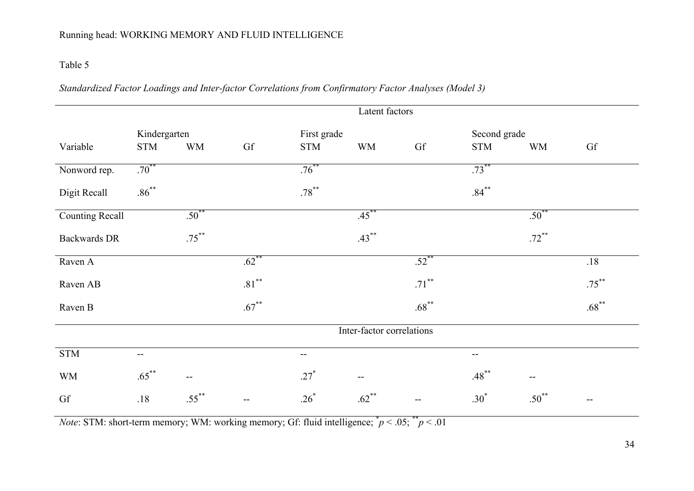# Table 5

# *Standardized Factor Loadings and Inter-factor Correlations from Confirmatory Factor Analyses (Model 3)*

|                        | Latent factors |            |                          |             |                             |          |              |                                               |          |
|------------------------|----------------|------------|--------------------------|-------------|-----------------------------|----------|--------------|-----------------------------------------------|----------|
|                        | Kindergarten   |            |                          | First grade |                             |          | Second grade |                                               |          |
| Variable               | <b>STM</b>     | <b>WM</b>  | Gf                       | <b>STM</b>  | <b>WM</b>                   | Gf       | <b>STM</b>   | <b>WM</b>                                     | Gf       |
| Nonword rep.           | $.70***$       |            |                          | $.76***$    |                             |          | $.73***$     |                                               |          |
| Digit Recall           | $.86***$       |            |                          | $.78***$    |                             |          | $.84***$     |                                               |          |
| <b>Counting Recall</b> |                | $.50^{**}$ |                          |             | $.45***$                    |          |              | $.50^{**}$                                    |          |
| <b>Backwards DR</b>    |                | $.75***$   |                          |             | $.43***$                    |          |              | $.72***$                                      |          |
| Raven A                |                |            | $.62$ <sup>**</sup>      |             |                             | $.52$ ** |              |                                               | .18      |
| Raven AB               |                |            | $.81^{\ast\ast}$         |             |                             | $.71***$ |              |                                               | $.75***$ |
| Raven B                |                |            | $.67***$                 |             |                             | $.68***$ |              |                                               | $.68***$ |
|                        |                |            |                          |             | Inter-factor correlations   |          |              |                                               |          |
| <b>STM</b>             | --             |            |                          | --          |                             |          | $-$          |                                               |          |
| <b>WM</b>              | $.65***$       | $-$        |                          | $.27*$      | $\mathcal{L}_{\mathcal{F}}$ |          | $.48***$     | $\mathord{\hspace{1pt}\text{--}\hspace{1pt}}$ |          |
| Gf                     | .18            | $.55***$   | $\overline{\phantom{m}}$ | $.26*$      | $.62$ **                    | $-$      | $.30*$       | $.50^{**}$                                    | $-$      |

*Note*: STM: short-term memory; WM: working memory; Gf: fluid intelligence;  $p < .05$ ;  $p < .01$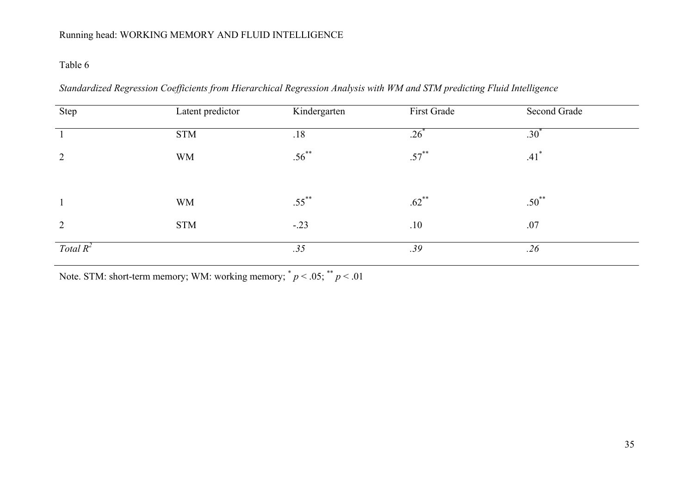## Table 6

*Standardized Regression Coefficients from Hierarchical Regression Analysis with WM and STM predicting Fluid Intelligence* 

| Step        | Latent predictor | Kindergarten | First Grade         | Second Grade       |
|-------------|------------------|--------------|---------------------|--------------------|
|             | <b>STM</b>       | .18          | $.26^\circ$         | .30 <sup>°</sup>   |
| 2           | <b>WM</b>        | $.56^{**}$   | $.57***$            | $.41$ <sup>*</sup> |
|             |                  |              |                     |                    |
|             | <b>WM</b>        | $.55***$     | $.62$ <sup>**</sup> | $.50^{**}$         |
| 2           | <b>STM</b>       | $-.23$       | .10                 | .07                |
| Total $R^2$ |                  | .35          | .39                 | .26                |

Note. STM: short-term memory; WM: working memory;  $p < .05$ ;  $p < .01$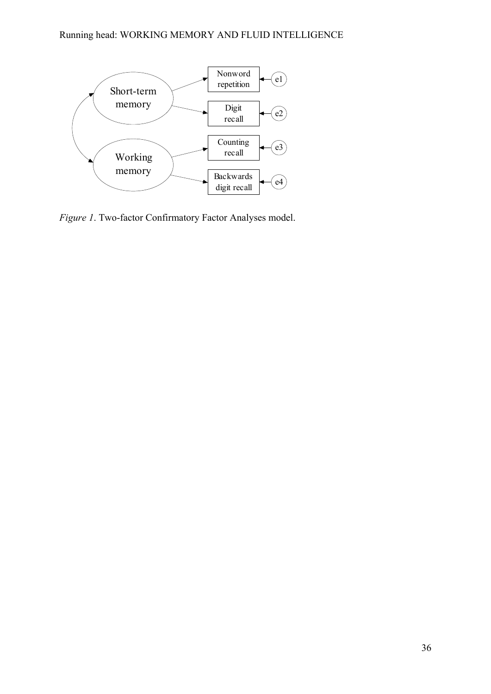

*Figure 1*. Two-factor Confirmatory Factor Analyses model.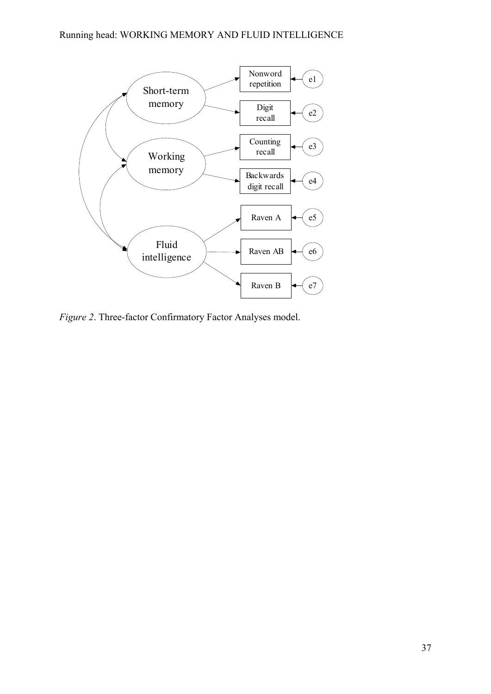

*Figure 2*. Three-factor Confirmatory Factor Analyses model.